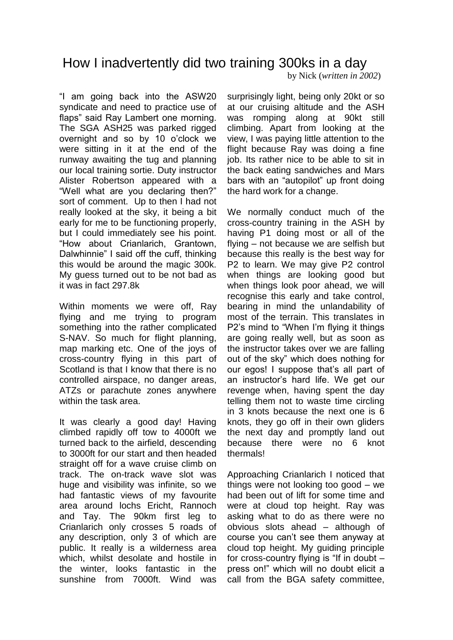How I inadvertently did two training 300ks in a day

"I am going back into the ASW20 syndicate and need to practice use of flaps" said Ray Lambert one morning. The SGA ASH25 was parked rigged overnight and so by 10 o'clock we were sitting in it at the end of the runway awaiting the tug and planning our local training sortie. Duty instructor Alister Robertson appeared with a "Well what are you declaring then?" sort of comment. Up to then I had not really looked at the sky, it being a bit early for me to be functioning properly, but I could immediately see his point. "How about Crianlarich, Grantown, Dalwhinnie" I said off the cuff, thinking this would be around the magic 300k. My guess turned out to be not bad as it was in fact 297.8k

Within moments we were off, Ray flying and me trying to program something into the rather complicated S-NAV. So much for flight planning, map marking etc. One of the joys of cross-country flying in this part of Scotland is that I know that there is no controlled airspace, no danger areas, ATZs or parachute zones anywhere within the task area.

It was clearly a good day! Having climbed rapidly off tow to 4000ft we turned back to the airfield, descending to 3000ft for our start and then headed straight off for a wave cruise climb on track. The on-track wave slot was huge and visibility was infinite, so we had fantastic views of my favourite area around lochs Ericht, Rannoch and Tay. The 90km first leg to Crianlarich only crosses 5 roads of any description, only 3 of which are public. It really is a wilderness area which, whilst desolate and hostile in the winter, looks fantastic in the sunshine from 7000ft. Wind was

surprisingly light, being only 20kt or so at our cruising altitude and the ASH was romping along at 90kt still climbing. Apart from looking at the view, I was paying little attention to the flight because Ray was doing a fine job. Its rather nice to be able to sit in the back eating sandwiches and Mars bars with an "autopilot" up front doing the hard work for a change.

by Nick (*written in 2002*)

We normally conduct much of the cross-country training in the ASH by having P1 doing most or all of the flying – not because we are selfish but because this really is the best way for P2 to learn. We may give P2 control when things are looking good but when things look poor ahead, we will recognise this early and take control, bearing in mind the unlandability of most of the terrain. This translates in P2's mind to "When I'm flying it things are going really well, but as soon as the instructor takes over we are falling out of the sky" which does nothing for our egos! I suppose that's all part of an instructor's hard life. We get our revenge when, having spent the day telling them not to waste time circling in 3 knots because the next one is 6 knots, they go off in their own gliders the next day and promptly land out because there were no 6 knot thermals!

Approaching Crianlarich I noticed that things were not looking too good – we had been out of lift for some time and were at cloud top height. Ray was asking what to do as there were no obvious slots ahead – although of course you can't see them anyway at cloud top height. My guiding principle for cross-country flying is "If in doubt – press on!" which will no doubt elicit a call from the BGA safety committee,